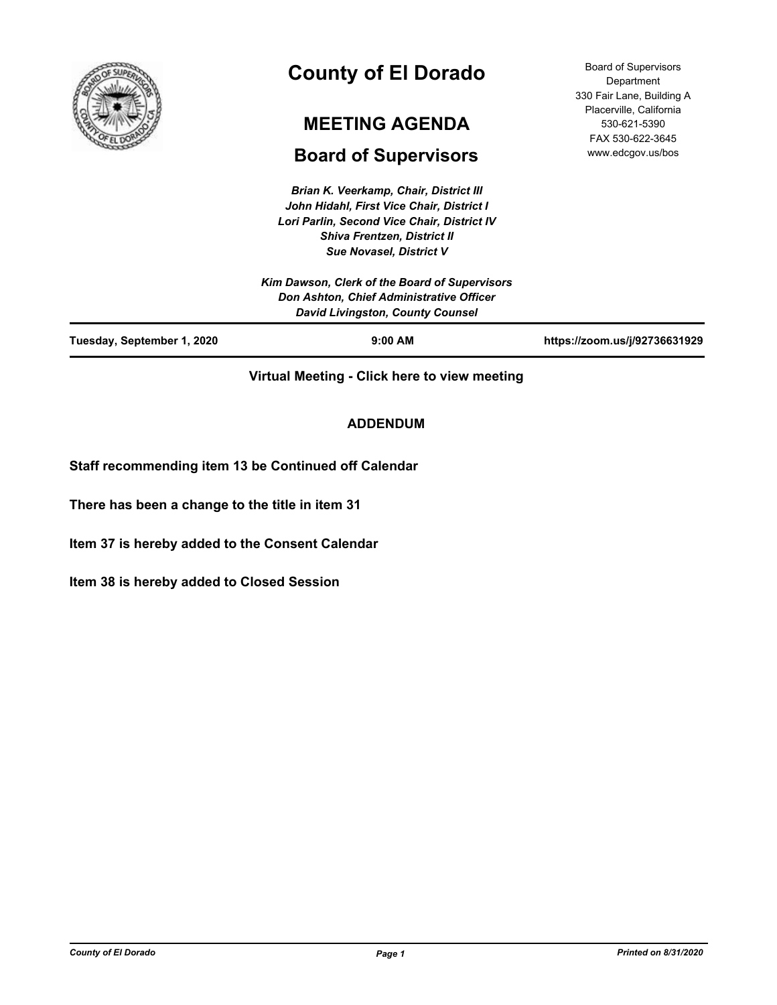

# **County of El Dorado**

# **MEETING AGENDA**

# **Board of Supervisors**

*Brian K. Veerkamp, Chair, District III John Hidahl, First Vice Chair, District I Lori Parlin, Second Vice Chair, District IV Shiva Frentzen, District II Sue Novasel, District V*

Board of Supervisors Department 330 Fair Lane, Building A Placerville, California 530-621-5390 FAX 530-622-3645 www.edcgov.us/bos

| Tuesday, September 1, 2020 | $9:00$ AM                                                                           | https://zoom.us/j/92736631929 |
|----------------------------|-------------------------------------------------------------------------------------|-------------------------------|
|                            | Don Ashton, Chief Administrative Officer<br><b>David Livingston, County Counsel</b> |                               |
|                            | Kim Dawson, Clerk of the Board of Supervisors                                       |                               |
|                            | <b>JUE NUVASEI, DISUILL V</b>                                                       |                               |

**Virtual Meeting - Click here to view meeting**

# **ADDENDUM**

**Staff recommending item 13 be Continued off Calendar**

**There has been a change to the title in item 31**

**Item 37 is hereby added to the Consent Calendar**

**Item 38 is hereby added to Closed Session**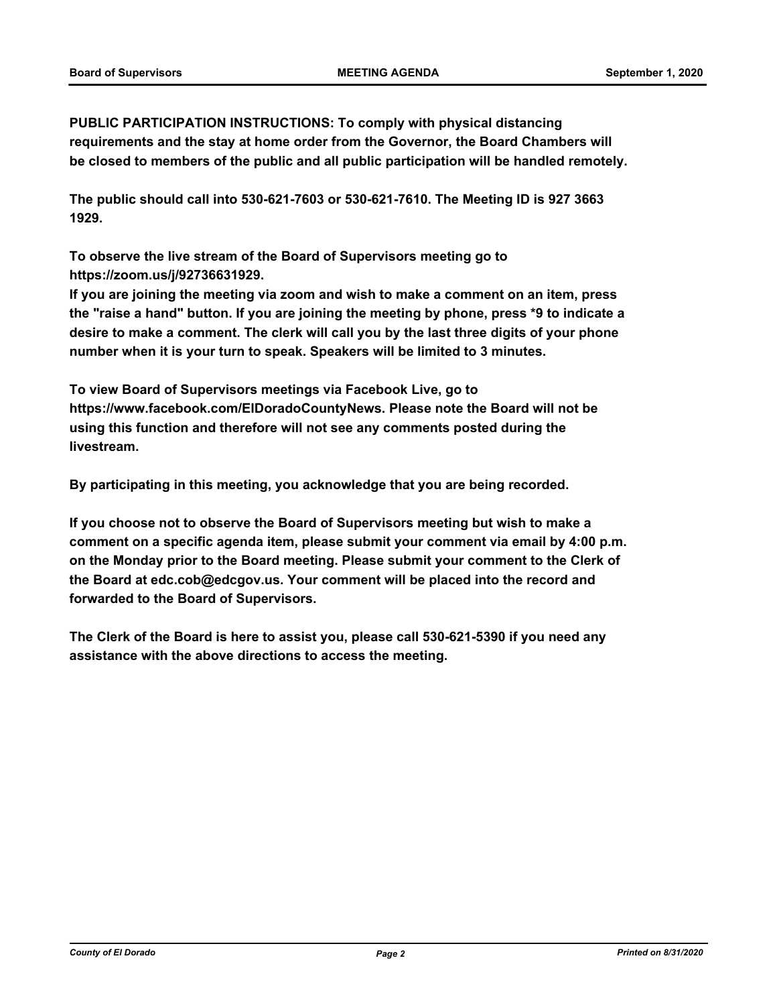**PUBLIC PARTICIPATION INSTRUCTIONS: To comply with physical distancing requirements and the stay at home order from the Governor, the Board Chambers will be closed to members of the public and all public participation will be handled remotely.** 

**The public should call into 530-621-7603 or 530-621-7610. The Meeting ID is 927 3663 1929.** 

**To observe the live stream of the Board of Supervisors meeting go to https://zoom.us/j/92736631929.** 

**If you are joining the meeting via zoom and wish to make a comment on an item, press the "raise a hand" button. If you are joining the meeting by phone, press \*9 to indicate a desire to make a comment. The clerk will call you by the last three digits of your phone number when it is your turn to speak. Speakers will be limited to 3 minutes.** 

**To view Board of Supervisors meetings via Facebook Live, go to https://www.facebook.com/ElDoradoCountyNews. Please note the Board will not be using this function and therefore will not see any comments posted during the livestream.** 

**By participating in this meeting, you acknowledge that you are being recorded.**

**If you choose not to observe the Board of Supervisors meeting but wish to make a comment on a specific agenda item, please submit your comment via email by 4:00 p.m. on the Monday prior to the Board meeting. Please submit your comment to the Clerk of the Board at edc.cob@edcgov.us. Your comment will be placed into the record and forwarded to the Board of Supervisors.** 

**The Clerk of the Board is here to assist you, please call 530-621-5390 if you need any assistance with the above directions to access the meeting.**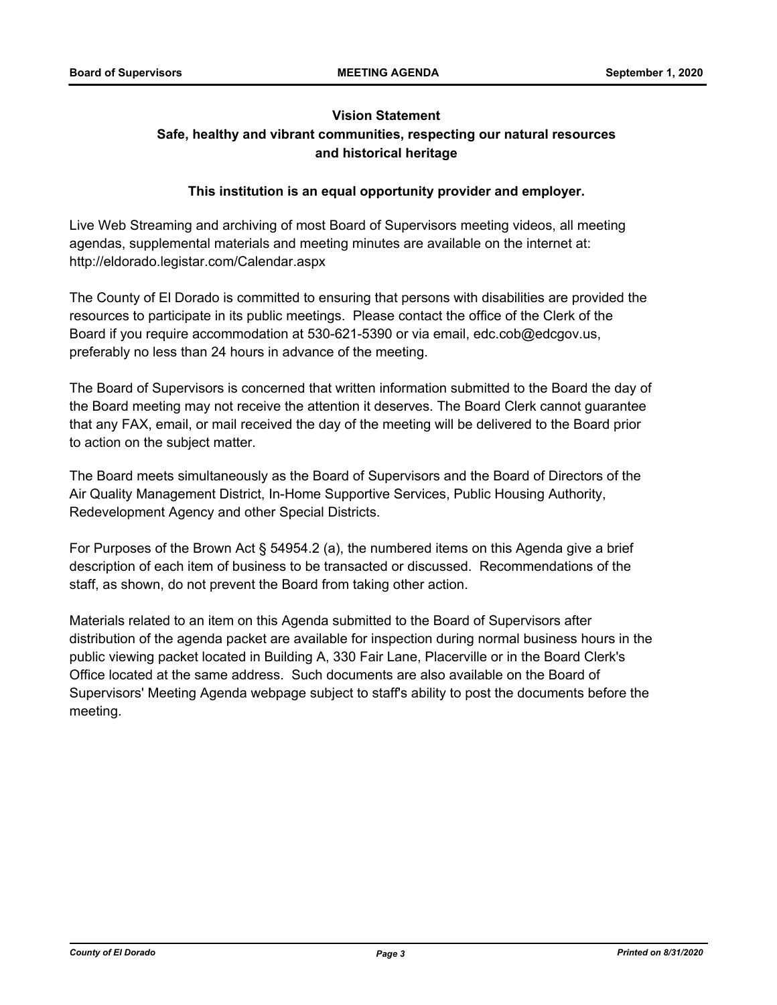# **Vision Statement Safe, healthy and vibrant communities, respecting our natural resources and historical heritage**

# **This institution is an equal opportunity provider and employer.**

Live Web Streaming and archiving of most Board of Supervisors meeting videos, all meeting agendas, supplemental materials and meeting minutes are available on the internet at: http://eldorado.legistar.com/Calendar.aspx

The County of El Dorado is committed to ensuring that persons with disabilities are provided the resources to participate in its public meetings. Please contact the office of the Clerk of the Board if you require accommodation at 530-621-5390 or via email, edc.cob@edcgov.us, preferably no less than 24 hours in advance of the meeting.

The Board of Supervisors is concerned that written information submitted to the Board the day of the Board meeting may not receive the attention it deserves. The Board Clerk cannot guarantee that any FAX, email, or mail received the day of the meeting will be delivered to the Board prior to action on the subject matter.

The Board meets simultaneously as the Board of Supervisors and the Board of Directors of the Air Quality Management District, In-Home Supportive Services, Public Housing Authority, Redevelopment Agency and other Special Districts.

For Purposes of the Brown Act § 54954.2 (a), the numbered items on this Agenda give a brief description of each item of business to be transacted or discussed. Recommendations of the staff, as shown, do not prevent the Board from taking other action.

Materials related to an item on this Agenda submitted to the Board of Supervisors after distribution of the agenda packet are available for inspection during normal business hours in the public viewing packet located in Building A, 330 Fair Lane, Placerville or in the Board Clerk's Office located at the same address. Such documents are also available on the Board of Supervisors' Meeting Agenda webpage subject to staff's ability to post the documents before the meeting.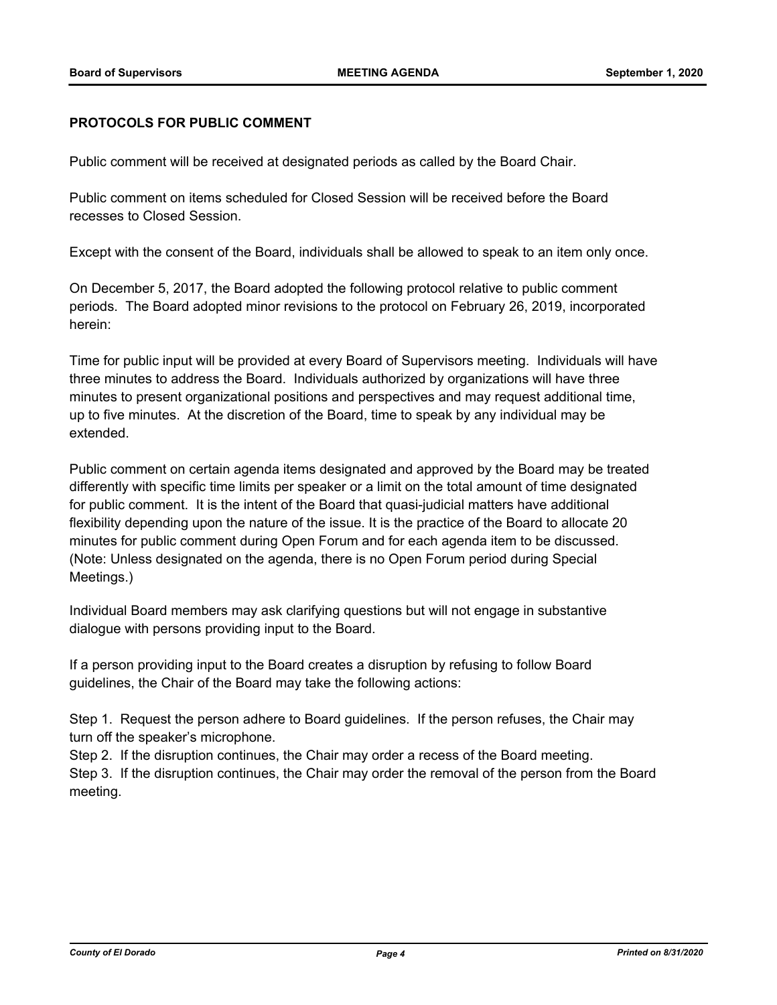### **PROTOCOLS FOR PUBLIC COMMENT**

Public comment will be received at designated periods as called by the Board Chair.

Public comment on items scheduled for Closed Session will be received before the Board recesses to Closed Session.

Except with the consent of the Board, individuals shall be allowed to speak to an item only once.

On December 5, 2017, the Board adopted the following protocol relative to public comment periods. The Board adopted minor revisions to the protocol on February 26, 2019, incorporated herein:

Time for public input will be provided at every Board of Supervisors meeting. Individuals will have three minutes to address the Board. Individuals authorized by organizations will have three minutes to present organizational positions and perspectives and may request additional time, up to five minutes. At the discretion of the Board, time to speak by any individual may be extended.

Public comment on certain agenda items designated and approved by the Board may be treated differently with specific time limits per speaker or a limit on the total amount of time designated for public comment. It is the intent of the Board that quasi-judicial matters have additional flexibility depending upon the nature of the issue. It is the practice of the Board to allocate 20 minutes for public comment during Open Forum and for each agenda item to be discussed. (Note: Unless designated on the agenda, there is no Open Forum period during Special Meetings.)

Individual Board members may ask clarifying questions but will not engage in substantive dialogue with persons providing input to the Board.

If a person providing input to the Board creates a disruption by refusing to follow Board guidelines, the Chair of the Board may take the following actions:

Step 1. Request the person adhere to Board guidelines. If the person refuses, the Chair may turn off the speaker's microphone.

Step 2. If the disruption continues, the Chair may order a recess of the Board meeting.

Step 3. If the disruption continues, the Chair may order the removal of the person from the Board meeting.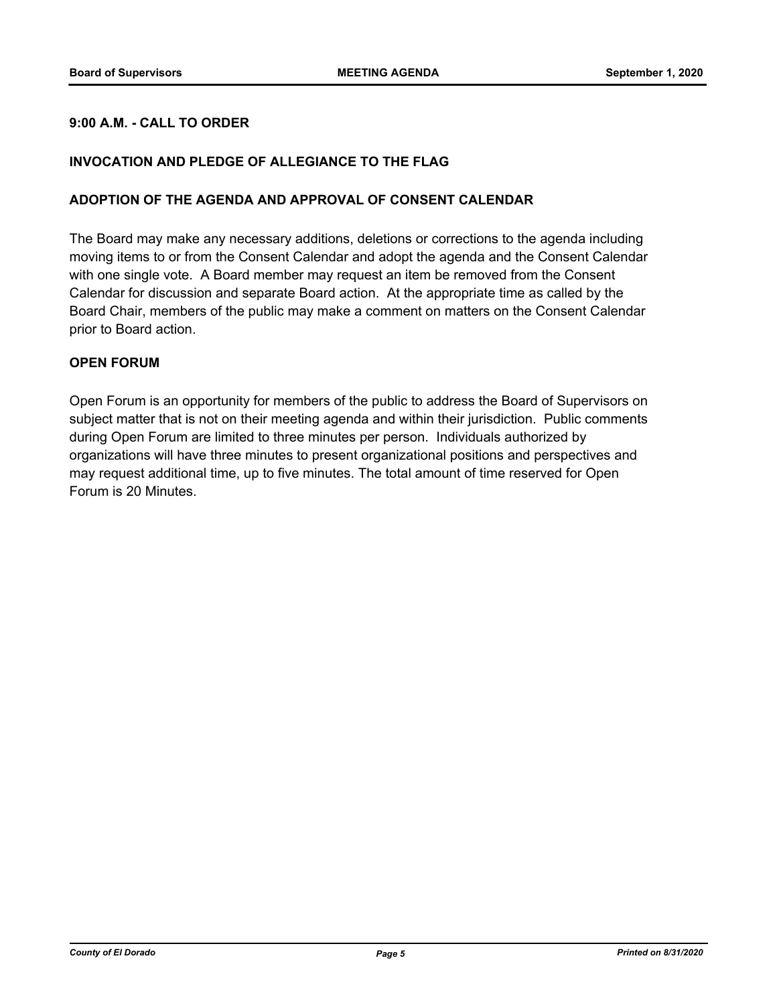# **9:00 A.M. - CALL TO ORDER**

# **INVOCATION AND PLEDGE OF ALLEGIANCE TO THE FLAG**

#### **ADOPTION OF THE AGENDA AND APPROVAL OF CONSENT CALENDAR**

The Board may make any necessary additions, deletions or corrections to the agenda including moving items to or from the Consent Calendar and adopt the agenda and the Consent Calendar with one single vote. A Board member may request an item be removed from the Consent Calendar for discussion and separate Board action. At the appropriate time as called by the Board Chair, members of the public may make a comment on matters on the Consent Calendar prior to Board action.

### **OPEN FORUM**

Open Forum is an opportunity for members of the public to address the Board of Supervisors on subject matter that is not on their meeting agenda and within their jurisdiction. Public comments during Open Forum are limited to three minutes per person. Individuals authorized by organizations will have three minutes to present organizational positions and perspectives and may request additional time, up to five minutes. The total amount of time reserved for Open Forum is 20 Minutes.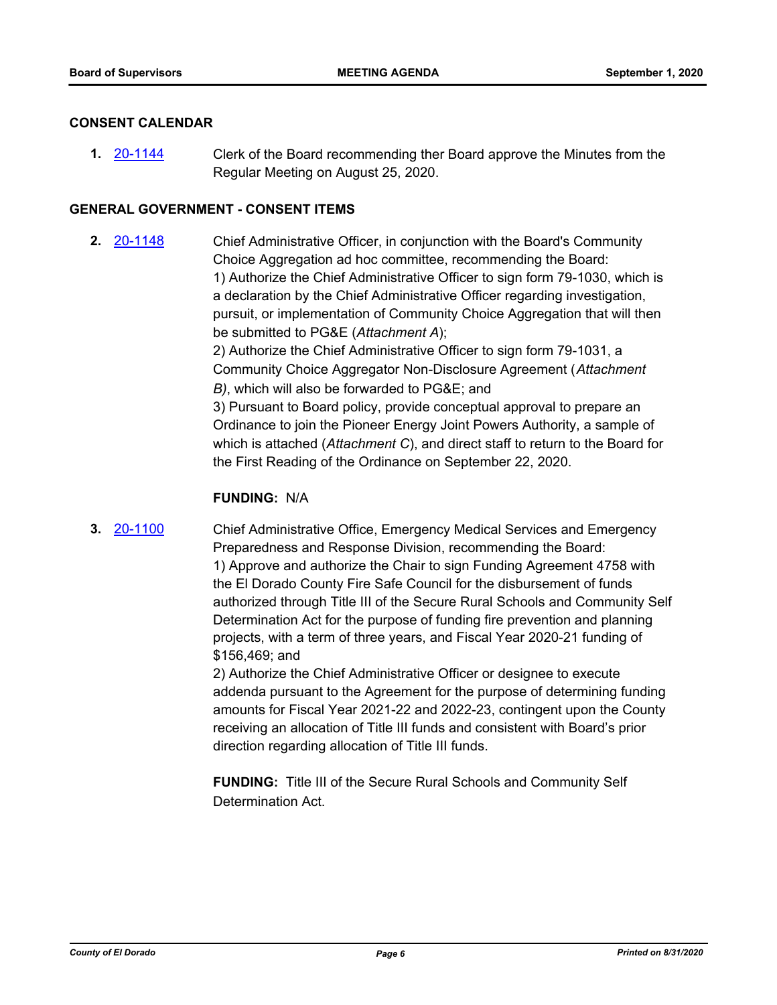### **CONSENT CALENDAR**

**1.** [20-1144](http://eldorado.legistar.com/gateway.aspx?m=l&id=/matter.aspx?key=28352) Clerk of the Board recommending ther Board approve the Minutes from the Regular Meeting on August 25, 2020.

### **GENERAL GOVERNMENT - CONSENT ITEMS**

**2.** [20-1148](http://eldorado.legistar.com/gateway.aspx?m=l&id=/matter.aspx?key=28356) Chief Administrative Officer, in conjunction with the Board's Community Choice Aggregation ad hoc committee, recommending the Board: 1) Authorize the Chief Administrative Officer to sign form 79-1030, which is a declaration by the Chief Administrative Officer regarding investigation, pursuit, or implementation of Community Choice Aggregation that will then be submitted to PG&E (*Attachment A*); 2) Authorize the Chief Administrative Officer to sign form 79-1031, a Community Choice Aggregator Non-Disclosure Agreement (*Attachment B)*, which will also be forwarded to PG&E; and 3) Pursuant to Board policy, provide conceptual approval to prepare an Ordinance to join the Pioneer Energy Joint Powers Authority, a sample of which is attached (*Attachment C*), and direct staff to return to the Board for the First Reading of the Ordinance on September 22, 2020.

#### **FUNDING:** N/A

**3.** [20-1100](http://eldorado.legistar.com/gateway.aspx?m=l&id=/matter.aspx?key=28308) Chief Administrative Office, Emergency Medical Services and Emergency Preparedness and Response Division, recommending the Board: 1) Approve and authorize the Chair to sign Funding Agreement 4758 with the El Dorado County Fire Safe Council for the disbursement of funds authorized through Title III of the Secure Rural Schools and Community Self Determination Act for the purpose of funding fire prevention and planning projects, with a term of three years, and Fiscal Year 2020-21 funding of \$156,469; and

> 2) Authorize the Chief Administrative Officer or designee to execute addenda pursuant to the Agreement for the purpose of determining funding amounts for Fiscal Year 2021-22 and 2022-23, contingent upon the County receiving an allocation of Title III funds and consistent with Board's prior direction regarding allocation of Title III funds.

**FUNDING:** Title III of the Secure Rural Schools and Community Self Determination Act.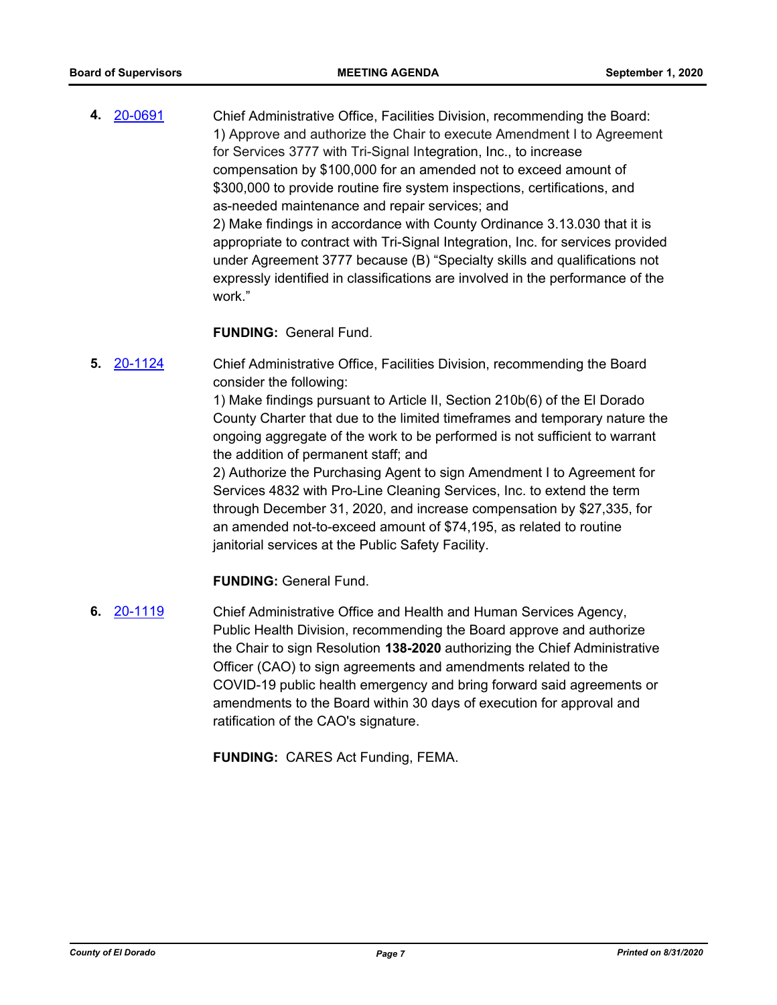**4.** [20-0691](http://eldorado.legistar.com/gateway.aspx?m=l&id=/matter.aspx?key=27897) Chief Administrative Office, Facilities Division, recommending the Board: 1) Approve and authorize the Chair to execute Amendment I to Agreement for Services 3777 with Tri-Signal Integration, Inc., to increase compensation by \$100,000 for an amended not to exceed amount of \$300,000 to provide routine fire system inspections, certifications, and as-needed maintenance and repair services; and 2) Make findings in accordance with County Ordinance 3.13.030 that it is appropriate to contract with Tri-Signal Integration, Inc. for services provided under Agreement 3777 because (B) "Specialty skills and qualifications not expressly identified in classifications are involved in the performance of the work."

**FUNDING:** General Fund.

**5.** [20-1124](http://eldorado.legistar.com/gateway.aspx?m=l&id=/matter.aspx?key=28332) Chief Administrative Office, Facilities Division, recommending the Board consider the following:

> 1) Make findings pursuant to Article II, Section 210b(6) of the El Dorado County Charter that due to the limited timeframes and temporary nature the ongoing aggregate of the work to be performed is not sufficient to warrant the addition of permanent staff; and

2) Authorize the Purchasing Agent to sign Amendment I to Agreement for Services 4832 with Pro-Line Cleaning Services, Inc. to extend the term through December 31, 2020, and increase compensation by \$27,335, for an amended not-to-exceed amount of \$74,195, as related to routine janitorial services at the Public Safety Facility.

**FUNDING:** General Fund.

**6.** [20-1119](http://eldorado.legistar.com/gateway.aspx?m=l&id=/matter.aspx?key=28327) Chief Administrative Office and Health and Human Services Agency, Public Health Division, recommending the Board approve and authorize the Chair to sign Resolution **138-2020** authorizing the Chief Administrative Officer (CAO) to sign agreements and amendments related to the COVID-19 public health emergency and bring forward said agreements or amendments to the Board within 30 days of execution for approval and ratification of the CAO's signature.

**FUNDING:** CARES Act Funding, FEMA.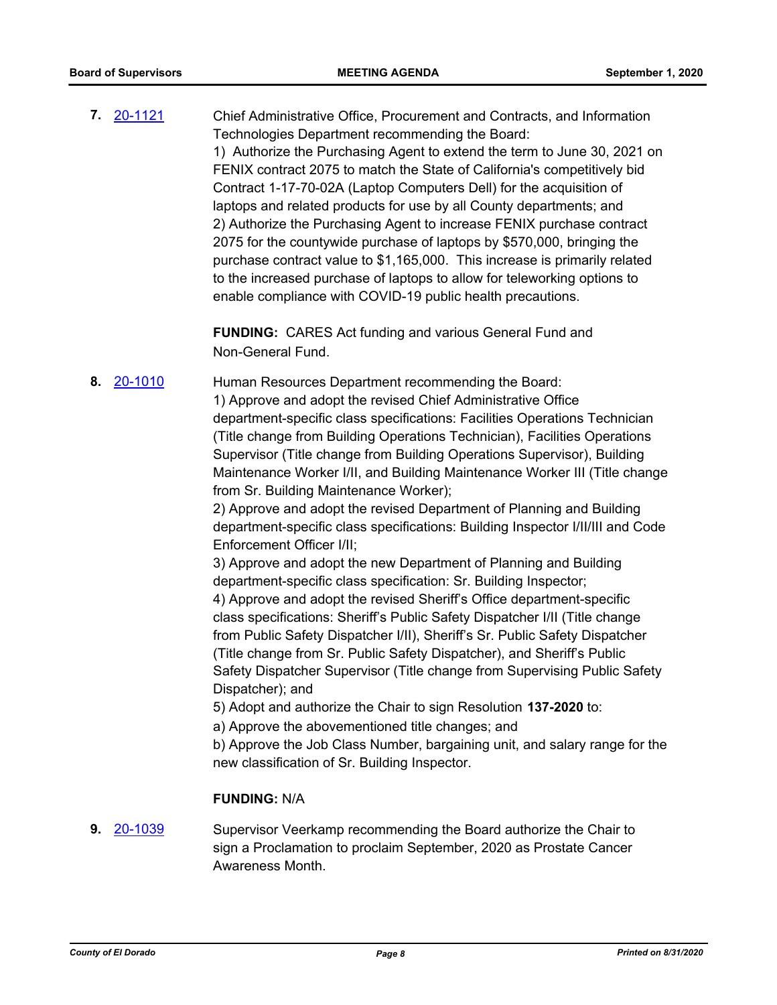**7.** [20-1121](http://eldorado.legistar.com/gateway.aspx?m=l&id=/matter.aspx?key=28329) Chief Administrative Office, Procurement and Contracts, and Information Technologies Department recommending the Board: 1) Authorize the Purchasing Agent to extend the term to June 30, 2021 on FENIX contract 2075 to match the State of California's competitively bid Contract 1-17-70-02A (Laptop Computers Dell) for the acquisition of laptops and related products for use by all County departments; and 2) Authorize the Purchasing Agent to increase FENIX purchase contract 2075 for the countywide purchase of laptops by \$570,000, bringing the purchase contract value to \$1,165,000. This increase is primarily related to the increased purchase of laptops to allow for teleworking options to enable compliance with COVID-19 public health precautions.

> **FUNDING:** CARES Act funding and various General Fund and Non-General Fund.

**8.** [20-1010](http://eldorado.legistar.com/gateway.aspx?m=l&id=/matter.aspx?key=28217) Human Resources Department recommending the Board: 1) Approve and adopt the revised Chief Administrative Office department-specific class specifications: Facilities Operations Technician (Title change from Building Operations Technician), Facilities Operations

Supervisor (Title change from Building Operations Supervisor), Building Maintenance Worker I/II, and Building Maintenance Worker III (Title change from Sr. Building Maintenance Worker);

2) Approve and adopt the revised Department of Planning and Building department-specific class specifications: Building Inspector I/II/III and Code Enforcement Officer I/II;

3) Approve and adopt the new Department of Planning and Building department-specific class specification: Sr. Building Inspector;

4) Approve and adopt the revised Sheriff's Office department-specific class specifications: Sheriff's Public Safety Dispatcher I/II (Title change from Public Safety Dispatcher I/II), Sheriff's Sr. Public Safety Dispatcher (Title change from Sr. Public Safety Dispatcher), and Sheriff's Public Safety Dispatcher Supervisor (Title change from Supervising Public Safety Dispatcher); and

5) Adopt and authorize the Chair to sign Resolution **137-2020** to:

a) Approve the abovementioned title changes; and

b) Approve the Job Class Number, bargaining unit, and salary range for the new classification of Sr. Building Inspector.

#### **FUNDING:** N/A

**9.** [20-1039](http://eldorado.legistar.com/gateway.aspx?m=l&id=/matter.aspx?key=28247) Supervisor Veerkamp recommending the Board authorize the Chair to sign a Proclamation to proclaim September, 2020 as Prostate Cancer Awareness Month.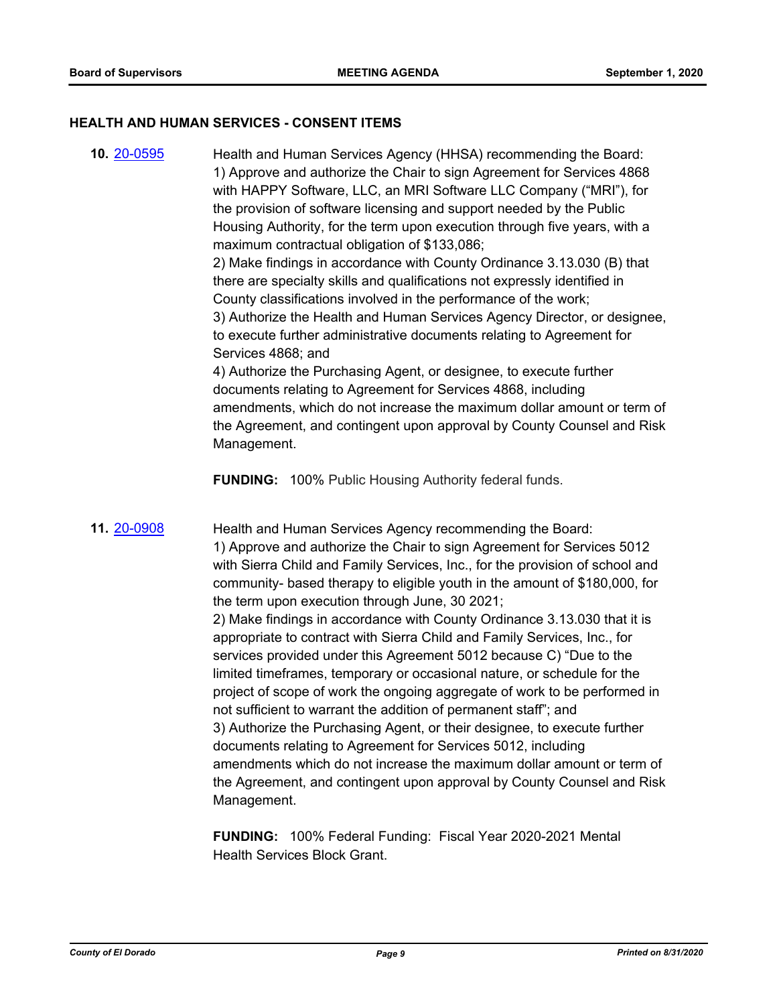#### **HEALTH AND HUMAN SERVICES - CONSENT ITEMS**

**10.** [20-0595](http://eldorado.legistar.com/gateway.aspx?m=l&id=/matter.aspx?key=27801) Health and Human Services Agency (HHSA) recommending the Board: 1) Approve and authorize the Chair to sign Agreement for Services 4868 with HAPPY Software, LLC, an MRI Software LLC Company ("MRI"), for the provision of software licensing and support needed by the Public Housing Authority, for the term upon execution through five years, with a maximum contractual obligation of \$133,086; 2) Make findings in accordance with County Ordinance 3.13.030 (B) that there are specialty skills and qualifications not expressly identified in County classifications involved in the performance of the work; 3) Authorize the Health and Human Services Agency Director, or designee, to execute further administrative documents relating to Agreement for Services 4868; and 4) Authorize the Purchasing Agent, or designee, to execute further documents relating to Agreement for Services 4868, including amendments, which do not increase the maximum dollar amount or term of the Agreement, and contingent upon approval by County Counsel and Risk Management.

**FUNDING:** 100% Public Housing Authority federal funds.

**11.** [20-0908](http://eldorado.legistar.com/gateway.aspx?m=l&id=/matter.aspx?key=28115) Health and Human Services Agency recommending the Board: 1) Approve and authorize the Chair to sign Agreement for Services 5012 with Sierra Child and Family Services, Inc., for the provision of school and community- based therapy to eligible youth in the amount of \$180,000, for the term upon execution through June, 30 2021; 2) Make findings in accordance with County Ordinance 3.13.030 that it is appropriate to contract with Sierra Child and Family Services, Inc., for services provided under this Agreement 5012 because C) "Due to the limited timeframes, temporary or occasional nature, or schedule for the project of scope of work the ongoing aggregate of work to be performed in not sufficient to warrant the addition of permanent staff"; and 3) Authorize the Purchasing Agent, or their designee, to execute further documents relating to Agreement for Services 5012, including amendments which do not increase the maximum dollar amount or term of the Agreement, and contingent upon approval by County Counsel and Risk Management.

> **FUNDING:** 100% Federal Funding: Fiscal Year 2020-2021 Mental Health Services Block Grant.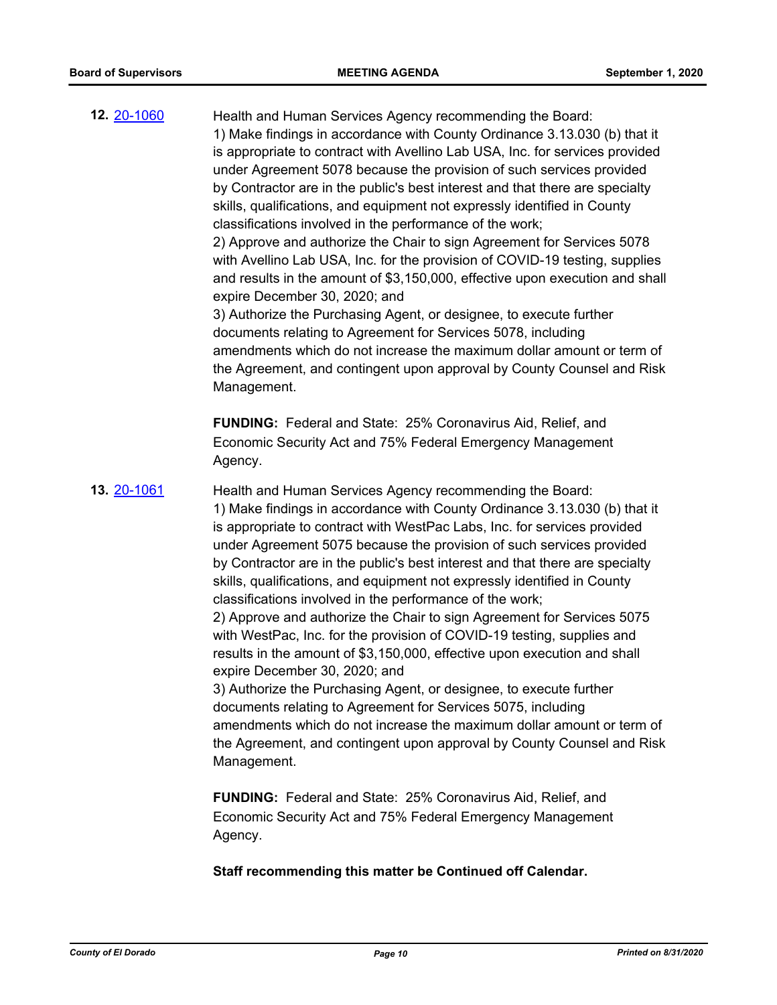**12.** [20-1060](http://eldorado.legistar.com/gateway.aspx?m=l&id=/matter.aspx?key=28268) Health and Human Services Agency recommending the Board: 1) Make findings in accordance with County Ordinance 3.13.030 (b) that it is appropriate to contract with Avellino Lab USA, Inc. for services provided under Agreement 5078 because the provision of such services provided by Contractor are in the public's best interest and that there are specialty skills, qualifications, and equipment not expressly identified in County classifications involved in the performance of the work; 2) Approve and authorize the Chair to sign Agreement for Services 5078 with Avellino Lab USA, Inc. for the provision of COVID-19 testing, supplies and results in the amount of \$3,150,000, effective upon execution and shall expire December 30, 2020; and 3) Authorize the Purchasing Agent, or designee, to execute further documents relating to Agreement for Services 5078, including amendments which do not increase the maximum dollar amount or term of the Agreement, and contingent upon approval by County Counsel and Risk Management. **FUNDING:** Federal and State: 25% Coronavirus Aid, Relief, and Economic Security Act and 75% Federal Emergency Management Agency. **13.** [20-1061](http://eldorado.legistar.com/gateway.aspx?m=l&id=/matter.aspx?key=28269) Health and Human Services Agency recommending the Board: 1) Make findings in accordance with County Ordinance 3.13.030 (b) that it is appropriate to contract with WestPac Labs, Inc. for services provided under Agreement 5075 because the provision of such services provided by Contractor are in the public's best interest and that there are specialty skills, qualifications, and equipment not expressly identified in County classifications involved in the performance of the work; 2) Approve and authorize the Chair to sign Agreement for Services 5075 with WestPac, Inc. for the provision of COVID-19 testing, supplies and results in the amount of \$3,150,000, effective upon execution and shall expire December 30, 2020; and

> 3) Authorize the Purchasing Agent, or designee, to execute further documents relating to Agreement for Services 5075, including amendments which do not increase the maximum dollar amount or term of the Agreement, and contingent upon approval by County Counsel and Risk Management.

**FUNDING:** Federal and State: 25% Coronavirus Aid, Relief, and Economic Security Act and 75% Federal Emergency Management Agency.

**Staff recommending this matter be Continued off Calendar.**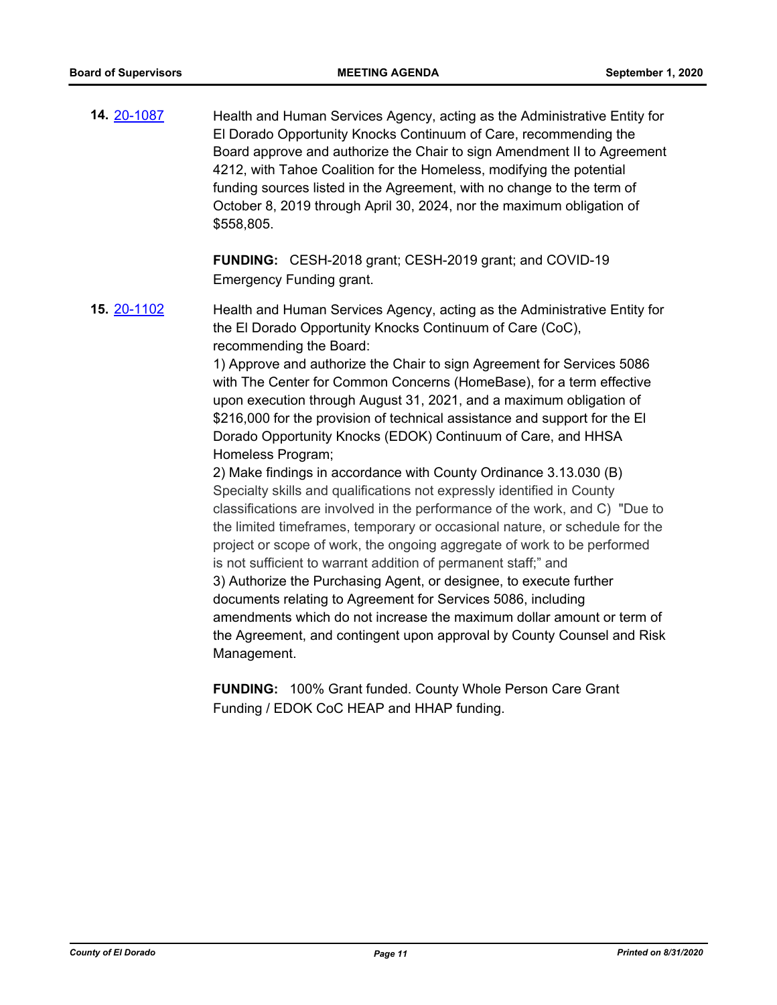**14.** [20-1087](http://eldorado.legistar.com/gateway.aspx?m=l&id=/matter.aspx?key=28295) Health and Human Services Agency, acting as the Administrative Entity for El Dorado Opportunity Knocks Continuum of Care, recommending the Board approve and authorize the Chair to sign Amendment II to Agreement 4212, with Tahoe Coalition for the Homeless, modifying the potential funding sources listed in the Agreement, with no change to the term of October 8, 2019 through April 30, 2024, nor the maximum obligation of \$558,805.

> **FUNDING:** CESH-2018 grant; CESH-2019 grant; and COVID-19 Emergency Funding grant.

**15.** [20-1102](http://eldorado.legistar.com/gateway.aspx?m=l&id=/matter.aspx?key=28310) Health and Human Services Agency, acting as the Administrative Entity for the El Dorado Opportunity Knocks Continuum of Care (CoC), recommending the Board:

> 1) Approve and authorize the Chair to sign Agreement for Services 5086 with The Center for Common Concerns (HomeBase), for a term effective upon execution through August 31, 2021, and a maximum obligation of \$216,000 for the provision of technical assistance and support for the El Dorado Opportunity Knocks (EDOK) Continuum of Care, and HHSA Homeless Program;

2) Make findings in accordance with County Ordinance 3.13.030 (B) Specialty skills and qualifications not expressly identified in County classifications are involved in the performance of the work, and C) "Due to the limited timeframes, temporary or occasional nature, or schedule for the project or scope of work, the ongoing aggregate of work to be performed is not sufficient to warrant addition of permanent staff;" and 3) Authorize the Purchasing Agent, or designee, to execute further documents relating to Agreement for Services 5086, including amendments which do not increase the maximum dollar amount or term of the Agreement, and contingent upon approval by County Counsel and Risk Management.

**FUNDING:** 100% Grant funded. County Whole Person Care Grant Funding / EDOK CoC HEAP and HHAP funding.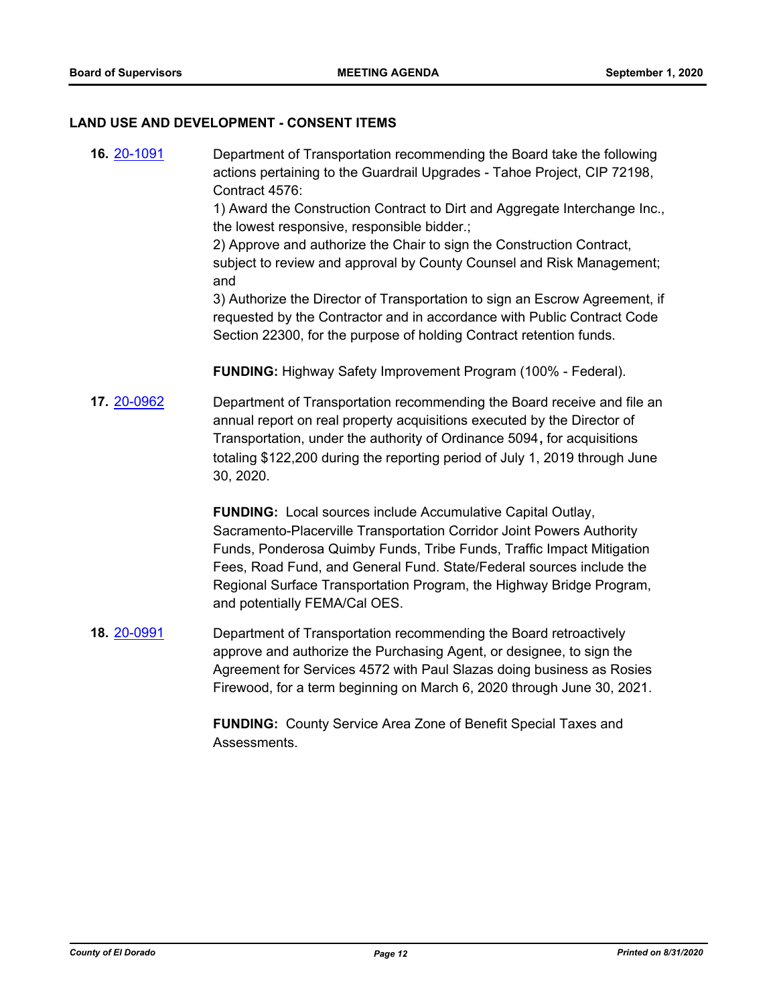#### **LAND USE AND DEVELOPMENT - CONSENT ITEMS**

**16.** [20-1091](http://eldorado.legistar.com/gateway.aspx?m=l&id=/matter.aspx?key=28299) Department of Transportation recommending the Board take the following actions pertaining to the Guardrail Upgrades - Tahoe Project, CIP 72198, Contract 4576:

> 1) Award the Construction Contract to Dirt and Aggregate Interchange Inc., the lowest responsive, responsible bidder.;

> 2) Approve and authorize the Chair to sign the Construction Contract, subject to review and approval by County Counsel and Risk Management; and

> 3) Authorize the Director of Transportation to sign an Escrow Agreement, if requested by the Contractor and in accordance with Public Contract Code Section 22300, for the purpose of holding Contract retention funds.

**FUNDING:** Highway Safety Improvement Program (100% - Federal).

**17.** [20-0962](http://eldorado.legistar.com/gateway.aspx?m=l&id=/matter.aspx?key=28169) Department of Transportation recommending the Board receive and file an annual report on real property acquisitions executed by the Director of Transportation, under the authority of Ordinance 5094**,** for acquisitions totaling \$122,200 during the reporting period of July 1, 2019 through June 30, 2020.

> **FUNDING:** Local sources include Accumulative Capital Outlay, Sacramento-Placerville Transportation Corridor Joint Powers Authority Funds, Ponderosa Quimby Funds, Tribe Funds, Traffic Impact Mitigation Fees, Road Fund, and General Fund. State/Federal sources include the Regional Surface Transportation Program, the Highway Bridge Program, and potentially FEMA/Cal OES.

**18.** [20-0991](http://eldorado.legistar.com/gateway.aspx?m=l&id=/matter.aspx?key=28198) Department of Transportation recommending the Board retroactively approve and authorize the Purchasing Agent, or designee, to sign the Agreement for Services 4572 with Paul Slazas doing business as Rosies Firewood, for a term beginning on March 6, 2020 through June 30, 2021.

> **FUNDING:** County Service Area Zone of Benefit Special Taxes and Assessments.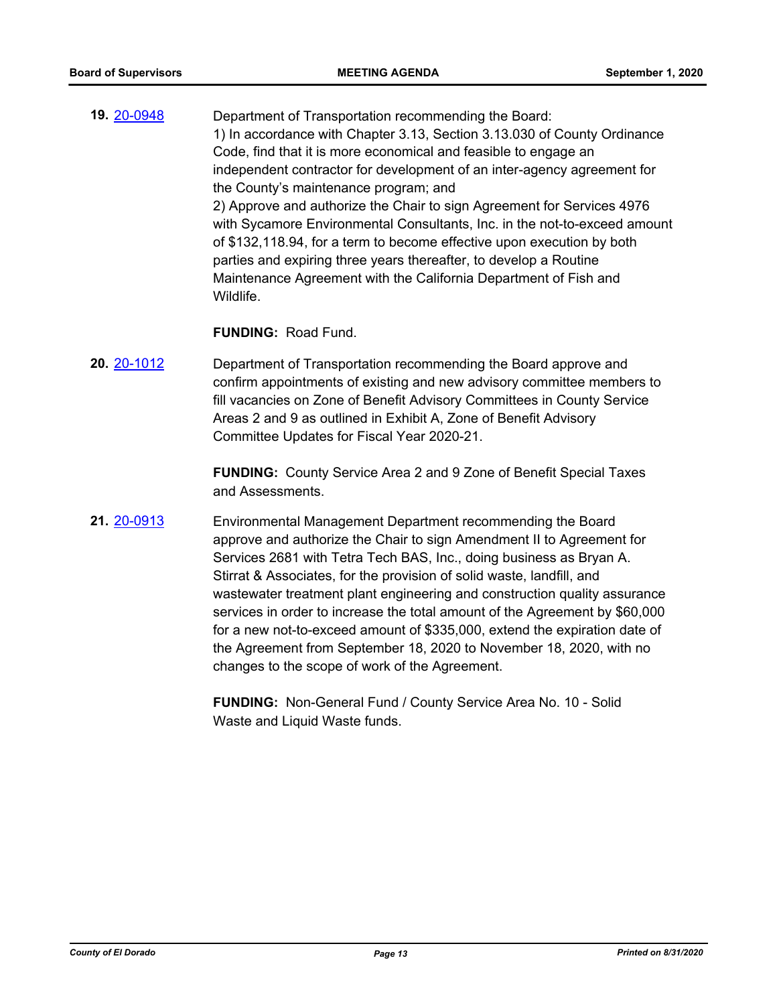**19.** [20-0948](http://eldorado.legistar.com/gateway.aspx?m=l&id=/matter.aspx?key=28155) Department of Transportation recommending the Board: 1) In accordance with Chapter 3.13, Section 3.13.030 of County Ordinance Code, find that it is more economical and feasible to engage an independent contractor for development of an inter-agency agreement for the County's maintenance program; and 2) Approve and authorize the Chair to sign Agreement for Services 4976 with Sycamore Environmental Consultants, Inc. in the not-to-exceed amount of \$132,118.94, for a term to become effective upon execution by both parties and expiring three years thereafter, to develop a Routine Maintenance Agreement with the California Department of Fish and Wildlife.

#### **FUNDING:** Road Fund.

**20.** [20-1012](http://eldorado.legistar.com/gateway.aspx?m=l&id=/matter.aspx?key=28219) Department of Transportation recommending the Board approve and confirm appointments of existing and new advisory committee members to fill vacancies on Zone of Benefit Advisory Committees in County Service Areas 2 and 9 as outlined in Exhibit A, Zone of Benefit Advisory Committee Updates for Fiscal Year 2020-21.

> **FUNDING:** County Service Area 2 and 9 Zone of Benefit Special Taxes and Assessments.

**21.** [20-0913](http://eldorado.legistar.com/gateway.aspx?m=l&id=/matter.aspx?key=28120) Environmental Management Department recommending the Board approve and authorize the Chair to sign Amendment II to Agreement for Services 2681 with Tetra Tech BAS, Inc., doing business as Bryan A. Stirrat & Associates, for the provision of solid waste, landfill, and wastewater treatment plant engineering and construction quality assurance services in order to increase the total amount of the Agreement by \$60,000 for a new not-to-exceed amount of \$335,000, extend the expiration date of the Agreement from September 18, 2020 to November 18, 2020, with no changes to the scope of work of the Agreement.

> **FUNDING:** Non-General Fund / County Service Area No. 10 - Solid Waste and Liquid Waste funds.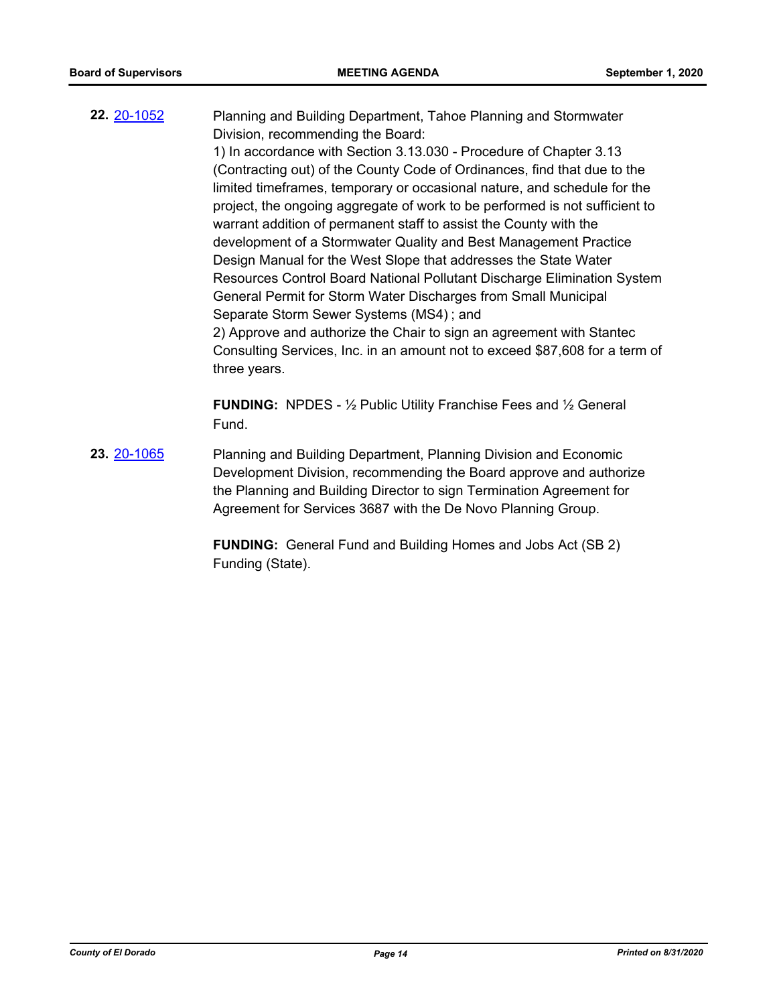**22.** [20-1052](http://eldorado.legistar.com/gateway.aspx?m=l&id=/matter.aspx?key=28260) Planning and Building Department, Tahoe Planning and Stormwater Division, recommending the Board: 1) In accordance with Section 3.13.030 - Procedure of Chapter 3.13 (Contracting out) of the County Code of Ordinances, find that due to the

limited timeframes, temporary or occasional nature, and schedule for the project, the ongoing aggregate of work to be performed is not sufficient to warrant addition of permanent staff to assist the County with the development of a Stormwater Quality and Best Management Practice Design Manual for the West Slope that addresses the State Water Resources Control Board National Pollutant Discharge Elimination System General Permit for Storm Water Discharges from Small Municipal Separate Storm Sewer Systems (MS4) ; and 2) Approve and authorize the Chair to sign an agreement with Stantec Consulting Services, Inc. in an amount not to exceed \$87,608 for a term of three years.

**FUNDING:** NPDES - ½ Public Utility Franchise Fees and ½ General Fund.

**23.** [20-1065](http://eldorado.legistar.com/gateway.aspx?m=l&id=/matter.aspx?key=28273) Planning and Building Department, Planning Division and Economic Development Division, recommending the Board approve and authorize the Planning and Building Director to sign Termination Agreement for Agreement for Services 3687 with the De Novo Planning Group.

> **FUNDING:** General Fund and Building Homes and Jobs Act (SB 2) Funding (State).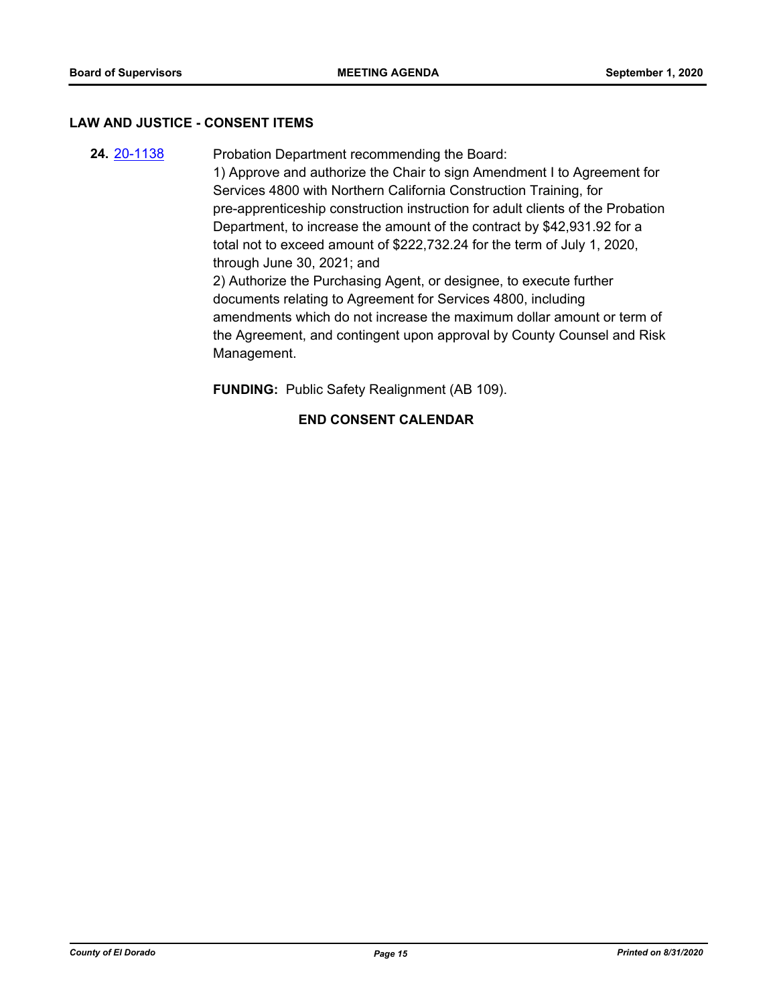#### **LAW AND JUSTICE - CONSENT ITEMS**

**24.** [20-1138](http://eldorado.legistar.com/gateway.aspx?m=l&id=/matter.aspx?key=28346) Probation Department recommending the Board: 1) Approve and authorize the Chair to sign Amendment I to Agreement for Services 4800 with Northern California Construction Training, for pre-apprenticeship construction instruction for adult clients of the Probation Department, to increase the amount of the contract by \$42,931.92 for a total not to exceed amount of \$222,732.24 for the term of July 1, 2020, through June 30, 2021; and 2) Authorize the Purchasing Agent, or designee, to execute further documents relating to Agreement for Services 4800, including amendments which do not increase the maximum dollar amount or term of the Agreement, and contingent upon approval by County Counsel and Risk Management.

**FUNDING:** Public Safety Realignment (AB 109).

# **END CONSENT CALENDAR**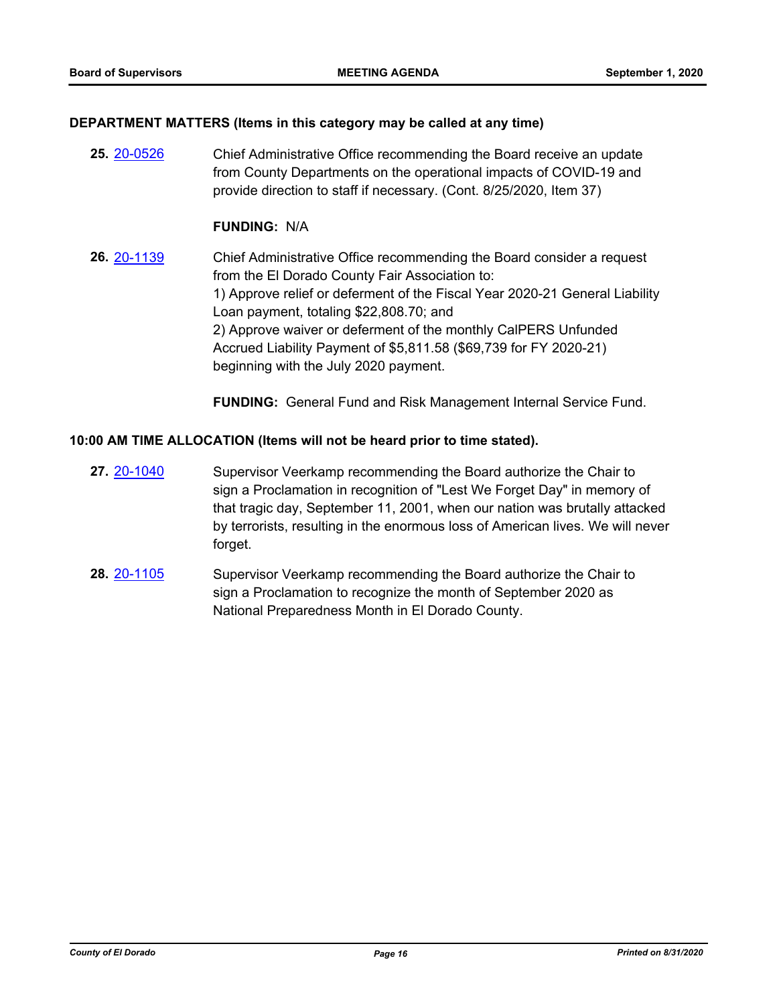### **DEPARTMENT MATTERS (Items in this category may be called at any time)**

**25.** [20-0526](http://eldorado.legistar.com/gateway.aspx?m=l&id=/matter.aspx?key=27732) Chief Administrative Office recommending the Board receive an update from County Departments on the operational impacts of COVID-19 and provide direction to staff if necessary. (Cont. 8/25/2020, Item 37)

## **FUNDING:** N/A

**26.** [20-1139](http://eldorado.legistar.com/gateway.aspx?m=l&id=/matter.aspx?key=28347) Chief Administrative Office recommending the Board consider a request from the El Dorado County Fair Association to: 1) Approve relief or deferment of the Fiscal Year 2020-21 General Liability Loan payment, totaling \$22,808.70; and 2) Approve waiver or deferment of the monthly CalPERS Unfunded Accrued Liability Payment of \$5,811.58 (\$69,739 for FY 2020-21) beginning with the July 2020 payment.

**FUNDING:** General Fund and Risk Management Internal Service Fund.

# **10:00 AM TIME ALLOCATION (Items will not be heard prior to time stated).**

- **27.** [20-1040](http://eldorado.legistar.com/gateway.aspx?m=l&id=/matter.aspx?key=28248) Supervisor Veerkamp recommending the Board authorize the Chair to sign a Proclamation in recognition of "Lest We Forget Day" in memory of that tragic day, September 11, 2001, when our nation was brutally attacked by terrorists, resulting in the enormous loss of American lives. We will never forget.
- **28.** [20-1105](http://eldorado.legistar.com/gateway.aspx?m=l&id=/matter.aspx?key=28313) Supervisor Veerkamp recommending the Board authorize the Chair to sign a Proclamation to recognize the month of September 2020 as National Preparedness Month in El Dorado County.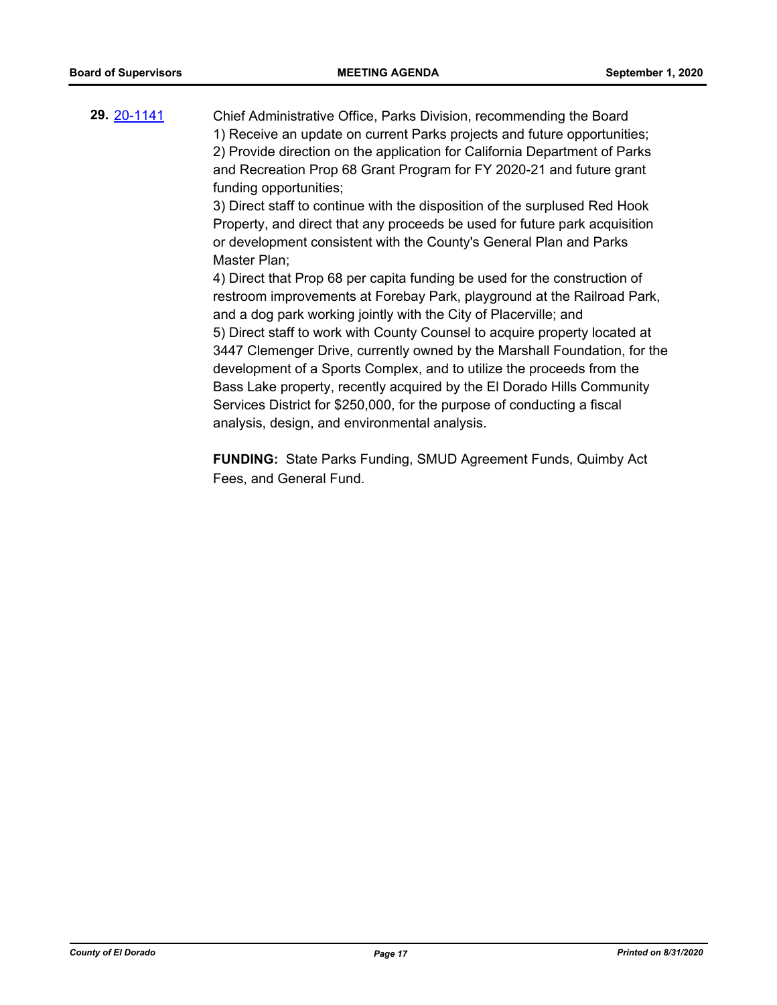**29.** [20-1141](http://eldorado.legistar.com/gateway.aspx?m=l&id=/matter.aspx?key=28349) Chief Administrative Office, Parks Division, recommending the Board 1) Receive an update on current Parks projects and future opportunities; 2) Provide direction on the application for California Department of Parks and Recreation Prop 68 Grant Program for FY 2020-21 and future grant funding opportunities;

3) Direct staff to continue with the disposition of the surplused Red Hook Property, and direct that any proceeds be used for future park acquisition or development consistent with the County's General Plan and Parks Master Plan;

4) Direct that Prop 68 per capita funding be used for the construction of restroom improvements at Forebay Park, playground at the Railroad Park, and a dog park working jointly with the City of Placerville; and 5) Direct staff to work with County Counsel to acquire property located at 3447 Clemenger Drive, currently owned by the Marshall Foundation, for the development of a Sports Complex, and to utilize the proceeds from the Bass Lake property, recently acquired by the El Dorado Hills Community Services District for \$250,000, for the purpose of conducting a fiscal analysis, design, and environmental analysis.

**FUNDING:** State Parks Funding, SMUD Agreement Funds, Quimby Act Fees, and General Fund.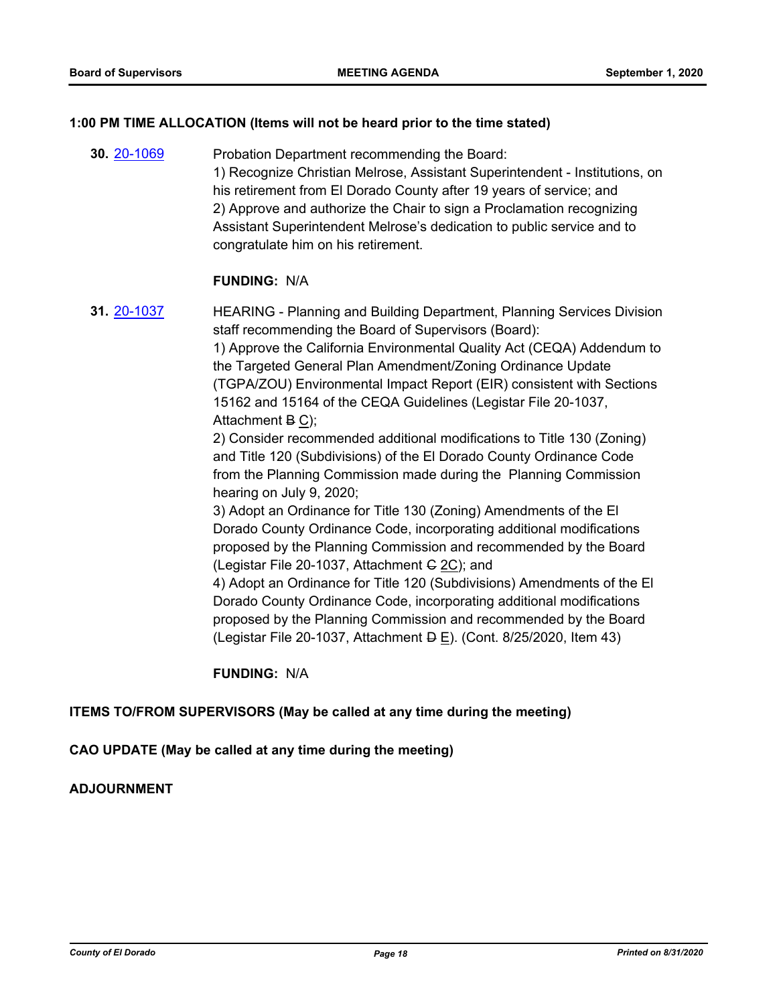#### **1:00 PM TIME ALLOCATION (Items will not be heard prior to the time stated)**

**30.** [20-1069](http://eldorado.legistar.com/gateway.aspx?m=l&id=/matter.aspx?key=28277) Probation Department recommending the Board: 1) Recognize Christian Melrose, Assistant Superintendent - Institutions, on his retirement from El Dorado County after 19 years of service; and 2) Approve and authorize the Chair to sign a Proclamation recognizing Assistant Superintendent Melrose's dedication to public service and to congratulate him on his retirement.

#### **FUNDING:** N/A

**31.** [20-1037](http://eldorado.legistar.com/gateway.aspx?m=l&id=/matter.aspx?key=28245) HEARING - Planning and Building Department, Planning Services Division staff recommending the Board of Supervisors (Board): 1) Approve the California Environmental Quality Act (CEQA) Addendum to the Targeted General Plan Amendment/Zoning Ordinance Update (TGPA/ZOU) Environmental Impact Report (EIR) consistent with Sections 15162 and 15164 of the CEQA Guidelines (Legistar File 20-1037, Attachment B C); 2) Consider recommended additional modifications to Title 130 (Zoning) and Title 120 (Subdivisions) of the El Dorado County Ordinance Code from the Planning Commission made during the Planning Commission hearing on July 9, 2020; 3) Adopt an Ordinance for Title 130 (Zoning) Amendments of the El Dorado County Ordinance Code, incorporating additional modifications proposed by the Planning Commission and recommended by the Board (Legistar File 20-1037, Attachment  $G$  2C); and 4) Adopt an Ordinance for Title 120 (Subdivisions) Amendments of the El Dorado County Ordinance Code, incorporating additional modifications proposed by the Planning Commission and recommended by the Board

(Legistar File 20-1037, Attachment  $\overline{P}$  E). (Cont. 8/25/2020, Item 43)

**FUNDING:** N/A

# **ITEMS TO/FROM SUPERVISORS (May be called at any time during the meeting)**

# **CAO UPDATE (May be called at any time during the meeting)**

#### **ADJOURNMENT**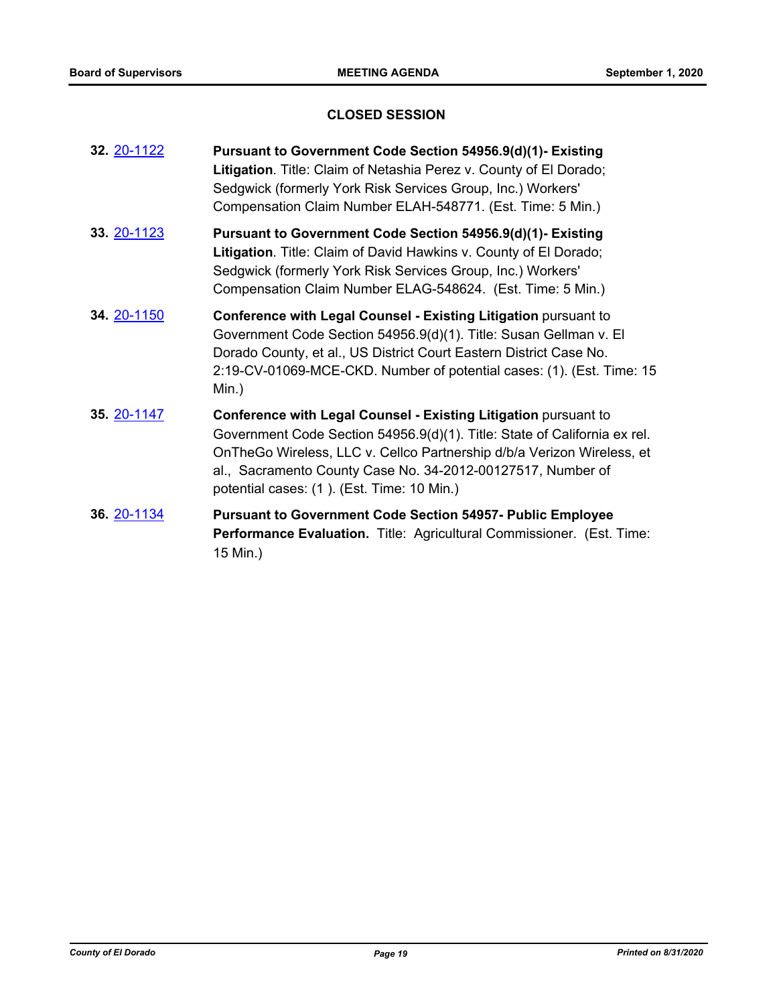# **CLOSED SESSION**

| 32. 20-1122 | Pursuant to Government Code Section 54956.9(d)(1)- Existing<br>Litigation. Title: Claim of Netashia Perez v. County of El Dorado;<br>Sedgwick (formerly York Risk Services Group, Inc.) Workers'<br>Compensation Claim Number ELAH-548771. (Est. Time: 5 Min.)                                                                      |
|-------------|-------------------------------------------------------------------------------------------------------------------------------------------------------------------------------------------------------------------------------------------------------------------------------------------------------------------------------------|
| 33. 20-1123 | Pursuant to Government Code Section 54956.9(d)(1)- Existing<br>Litigation. Title: Claim of David Hawkins v. County of El Dorado;<br>Sedgwick (formerly York Risk Services Group, Inc.) Workers'<br>Compensation Claim Number ELAG-548624. (Est. Time: 5 Min.)                                                                       |
| 34. 20-1150 | Conference with Legal Counsel - Existing Litigation pursuant to<br>Government Code Section 54956.9(d)(1). Title: Susan Gellman v. El<br>Dorado County, et al., US District Court Eastern District Case No.<br>2:19-CV-01069-MCE-CKD. Number of potential cases: (1). (Est. Time: 15<br>$Min.$ )                                     |
| 35. 20-1147 | Conference with Legal Counsel - Existing Litigation pursuant to<br>Government Code Section 54956.9(d)(1). Title: State of California ex rel.<br>OnTheGo Wireless, LLC v. Cellco Partnership d/b/a Verizon Wireless, et<br>al., Sacramento County Case No. 34-2012-00127517, Number of<br>potential cases: (1). (Est. Time: 10 Min.) |
| 36. 20-1134 | <b>Pursuant to Government Code Section 54957- Public Employee</b><br>Performance Evaluation. Title: Agricultural Commissioner. (Est. Time:<br>15 Min.)                                                                                                                                                                              |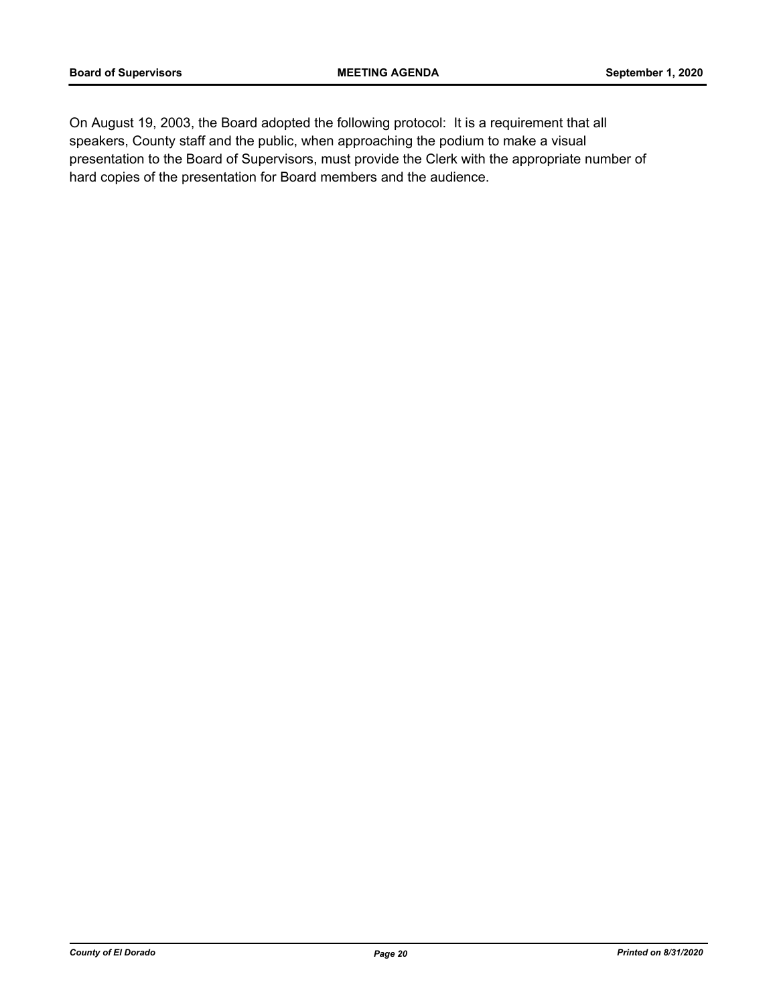On August 19, 2003, the Board adopted the following protocol: It is a requirement that all speakers, County staff and the public, when approaching the podium to make a visual presentation to the Board of Supervisors, must provide the Clerk with the appropriate number of hard copies of the presentation for Board members and the audience.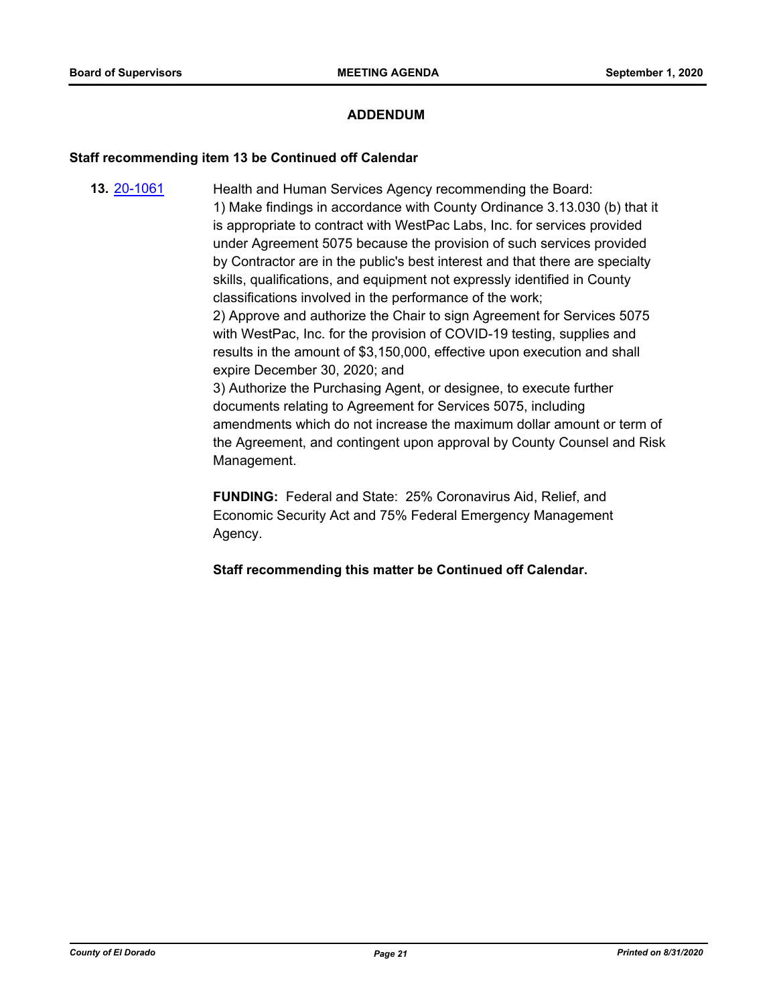# **ADDENDUM**

#### **Staff recommending item 13 be Continued off Calendar**

**13.** [20-1061](http://eldorado.legistar.com/gateway.aspx?m=l&id=/matter.aspx?key=28269) Health and Human Services Agency recommending the Board: 1) Make findings in accordance with County Ordinance 3.13.030 (b) that it is appropriate to contract with WestPac Labs, Inc. for services provided under Agreement 5075 because the provision of such services provided by Contractor are in the public's best interest and that there are specialty skills, qualifications, and equipment not expressly identified in County classifications involved in the performance of the work; 2) Approve and authorize the Chair to sign Agreement for Services 5075 with WestPac, Inc. for the provision of COVID-19 testing, supplies and results in the amount of \$3,150,000, effective upon execution and shall expire December 30, 2020; and 3) Authorize the Purchasing Agent, or designee, to execute further documents relating to Agreement for Services 5075, including amendments which do not increase the maximum dollar amount or term of the Agreement, and contingent upon approval by County Counsel and Risk Management.

> **FUNDING:** Federal and State: 25% Coronavirus Aid, Relief, and Economic Security Act and 75% Federal Emergency Management Agency.

**Staff recommending this matter be Continued off Calendar.**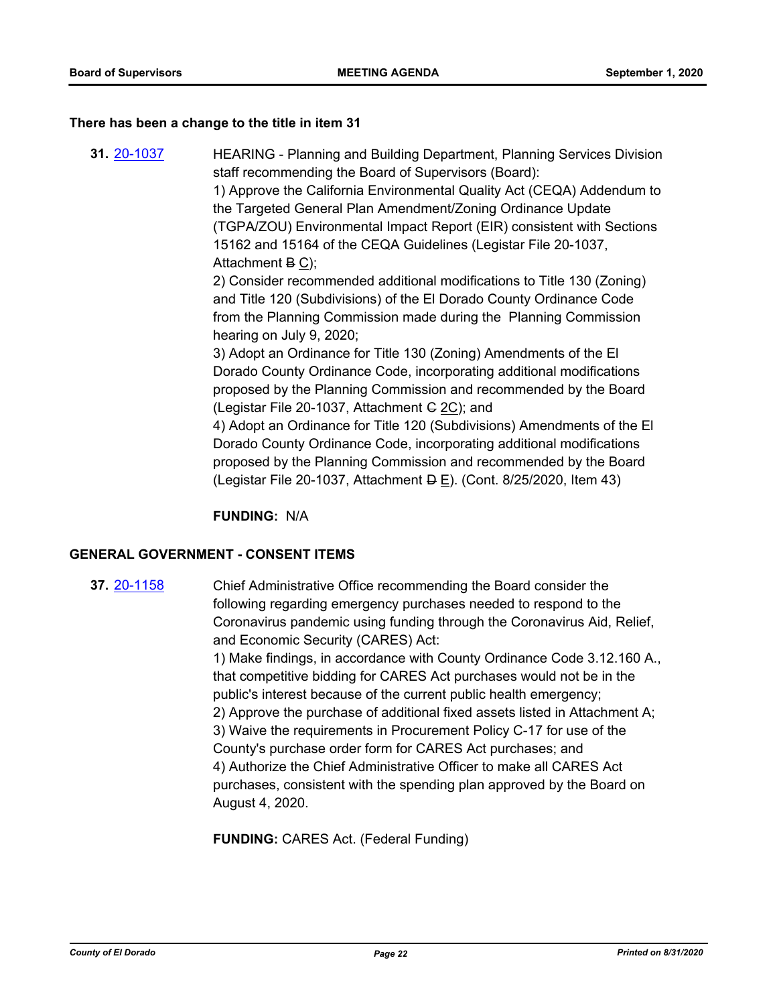#### **There has been a change to the title in item 31**

**31.** [20-1037](http://eldorado.legistar.com/gateway.aspx?m=l&id=/matter.aspx?key=28245) HEARING - Planning and Building Department, Planning Services Division staff recommending the Board of Supervisors (Board): 1) Approve the California Environmental Quality Act (CEQA) Addendum to the Targeted General Plan Amendment/Zoning Ordinance Update (TGPA/ZOU) Environmental Impact Report (EIR) consistent with Sections 15162 and 15164 of the CEQA Guidelines (Legistar File 20-1037, Attachment B C); 2) Consider recommended additional modifications to Title 130 (Zoning) and Title 120 (Subdivisions) of the El Dorado County Ordinance Code from the Planning Commission made during the Planning Commission hearing on July 9, 2020; 3) Adopt an Ordinance for Title 130 (Zoning) Amendments of the El Dorado County Ordinance Code, incorporating additional modifications proposed by the Planning Commission and recommended by the Board (Legistar File 20-1037, Attachment  $G$  2C); and 4) Adopt an Ordinance for Title 120 (Subdivisions) Amendments of the El Dorado County Ordinance Code, incorporating additional modifications proposed by the Planning Commission and recommended by the Board (Legistar File 20-1037, Attachment  $\overline{P}$  E). (Cont. 8/25/2020, Item 43)

**FUNDING:** N/A

# **GENERAL GOVERNMENT - CONSENT ITEMS**

**37.** [20-1158](http://eldorado.legistar.com/gateway.aspx?m=l&id=/matter.aspx?key=28366) Chief Administrative Office recommending the Board consider the following regarding emergency purchases needed to respond to the Coronavirus pandemic using funding through the Coronavirus Aid, Relief, and Economic Security (CARES) Act:

1) Make findings, in accordance with County Ordinance Code 3.12.160 A., that competitive bidding for CARES Act purchases would not be in the public's interest because of the current public health emergency; 2) Approve the purchase of additional fixed assets listed in Attachment A; 3) Waive the requirements in Procurement Policy C-17 for use of the County's purchase order form for CARES Act purchases; and 4) Authorize the Chief Administrative Officer to make all CARES Act purchases, consistent with the spending plan approved by the Board on August 4, 2020.

**FUNDING:** CARES Act. (Federal Funding)